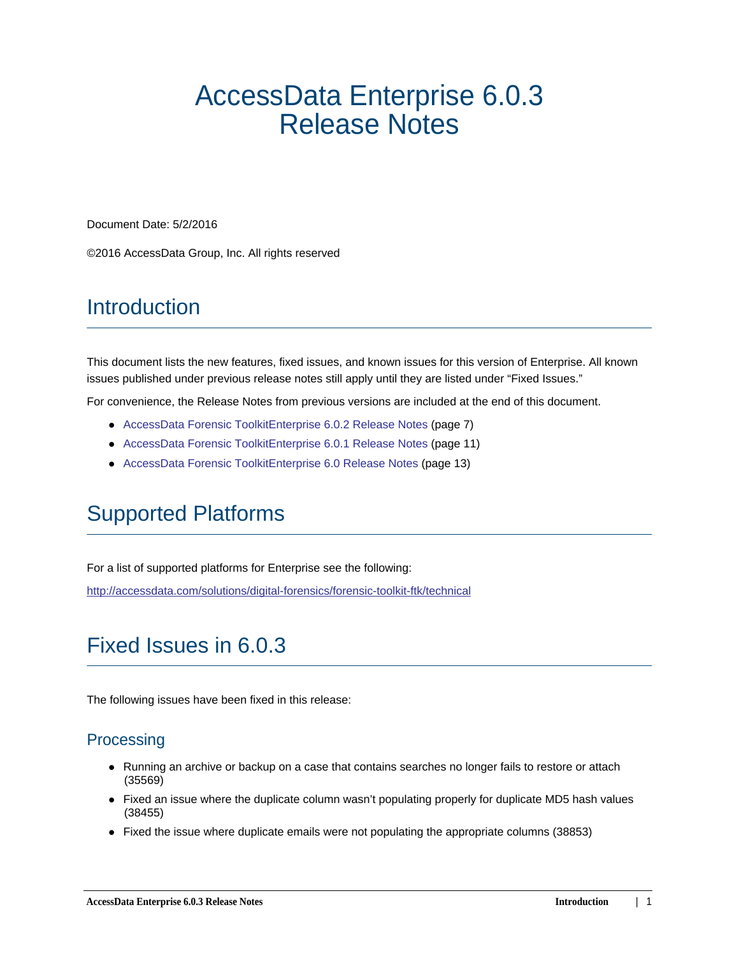# AccessData Enterprise 6.0.3 Release Notes

Document Date: 5/2/2016

©2016 AccessData Group, Inc. All rights reserved

# **Introduction**

This document lists the new features, fixed issues, and known issues for this version of Enterprise. All known issues published under previous release notes still apply until they are listed under "Fixed Issues."

For convenience, the Release Notes from previous versions are included at the end of this document.

- [AccessData Forensic ToolkitEnterprise 6.0.2 Release Notes \(page 7\)](#page-5-0)
- [AccessData Forensic ToolkitEnterprise 6.0.1 Release Notes \(page 11\)](#page-9-0)
- [AccessData Forensic ToolkitEnterprise 6.0 Release Notes \(page 13\)](#page-11-0)

# Supported Platforms

For a list of supported platforms for Enterprise see the following:

<http://accessdata.com/solutions/digital-forensics/forensic-toolkit-ftk/technical>

# Fixed Issues in 6.0.3

The following issues have been fixed in this release:

## **Processing**

- Running an archive or backup on a case that contains searches no longer fails to restore or attach (35569)
- Fixed an issue where the duplicate column wasn't populating properly for duplicate MD5 hash values (38455)
- Fixed the issue where duplicate emails were not populating the appropriate columns (38853)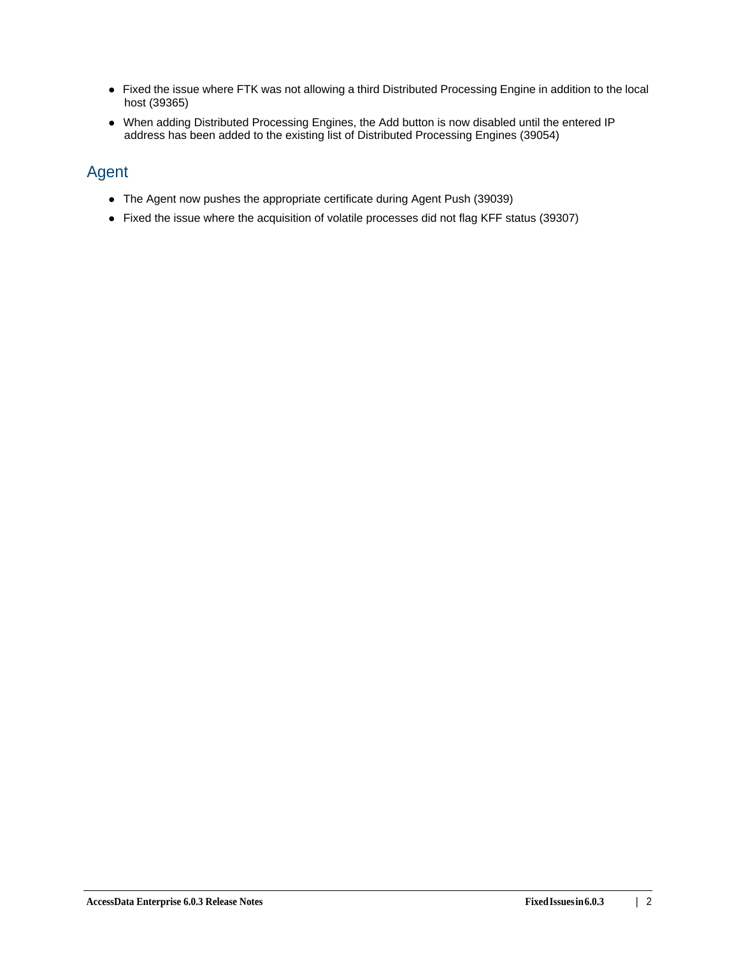- Fixed the issue where FTK was not allowing a third Distributed Processing Engine in addition to the local host (39365)
- When adding Distributed Processing Engines, the Add button is now disabled until the entered IP address has been added to the existing list of Distributed Processing Engines (39054)

## Agent

- The Agent now pushes the appropriate certificate during Agent Push (39039)
- Fixed the issue where the acquisition of volatile processes did not flag KFF status (39307)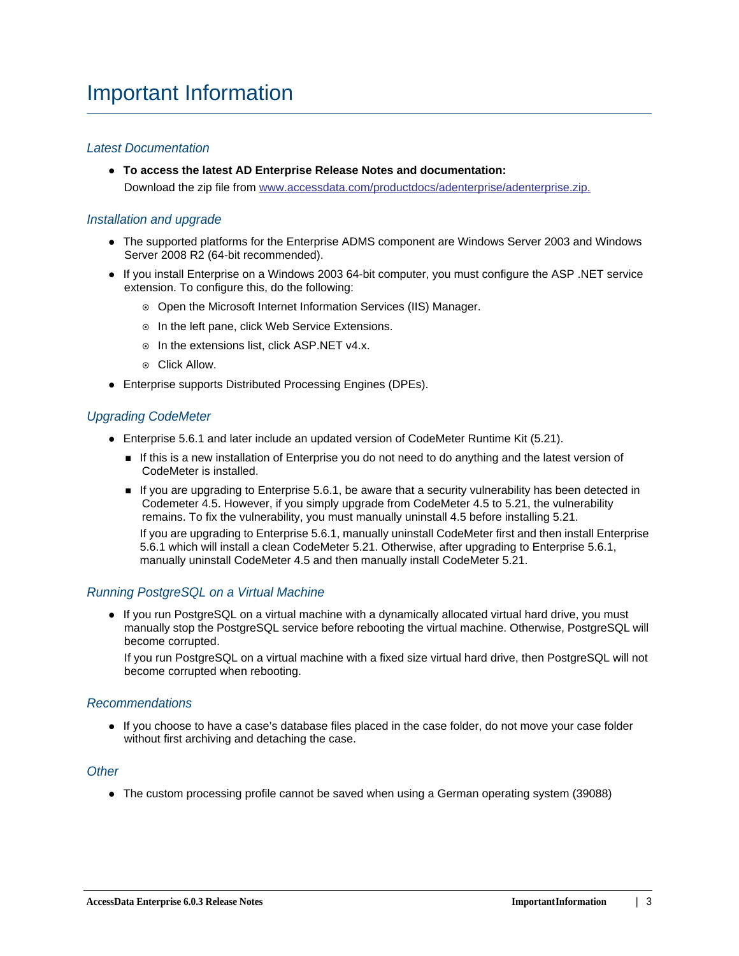#### *Latest Documentation*

**To access the latest AD Enterprise Release Notes and documentation:** Download the zip file from [www.accessdata.com/productdocs/adenterprise/adenterprise.zip.](www.accessdata.com/productdocs/adenterprise/adenterprise.zip)

#### *Installation and upgrade*

- The supported platforms for the Enterprise ADMS component are Windows Server 2003 and Windows Server 2008 R2 (64-bit recommended).
- If you install Enterprise on a Windows 2003 64-bit computer, you must configure the ASP .NET service extension. To configure this, do the following:
	- Open the Microsoft Internet Information Services (IIS) Manager.
	- o In the left pane, click Web Service Extensions.
	- o In the extensions list, click ASP.NET v4.x.
	- Click Allow.
- Enterprise supports Distributed Processing Engines (DPEs).

#### *Upgrading CodeMeter*

- Enterprise 5.6.1 and later include an updated version of CodeMeter Runtime Kit (5.21).
	- If this is a new installation of Enterprise you do not need to do anything and the latest version of CodeMeter is installed.
	- If you are upgrading to Enterprise 5.6.1, be aware that a security vulnerability has been detected in Codemeter 4.5. However, if you simply upgrade from CodeMeter 4.5 to 5.21, the vulnerability remains. To fix the vulnerability, you must manually uninstall 4.5 before installing 5.21.

If you are upgrading to Enterprise 5.6.1, manually uninstall CodeMeter first and then install Enterprise 5.6.1 which will install a clean CodeMeter 5.21. Otherwise, after upgrading to Enterprise 5.6.1, manually uninstall CodeMeter 4.5 and then manually install CodeMeter 5.21.

### *Running PostgreSQL on a Virtual Machine*

• If you run PostgreSQL on a virtual machine with a dynamically allocated virtual hard drive, you must manually stop the PostgreSQL service before rebooting the virtual machine. Otherwise, PostgreSQL will become corrupted.

If you run PostgreSQL on a virtual machine with a fixed size virtual hard drive, then PostgreSQL will not become corrupted when rebooting.

#### *Recommendations*

If you choose to have a case's database files placed in the case folder, do not move your case folder without first archiving and detaching the case.

#### *Other*

• The custom processing profile cannot be saved when using a German operating system (39088)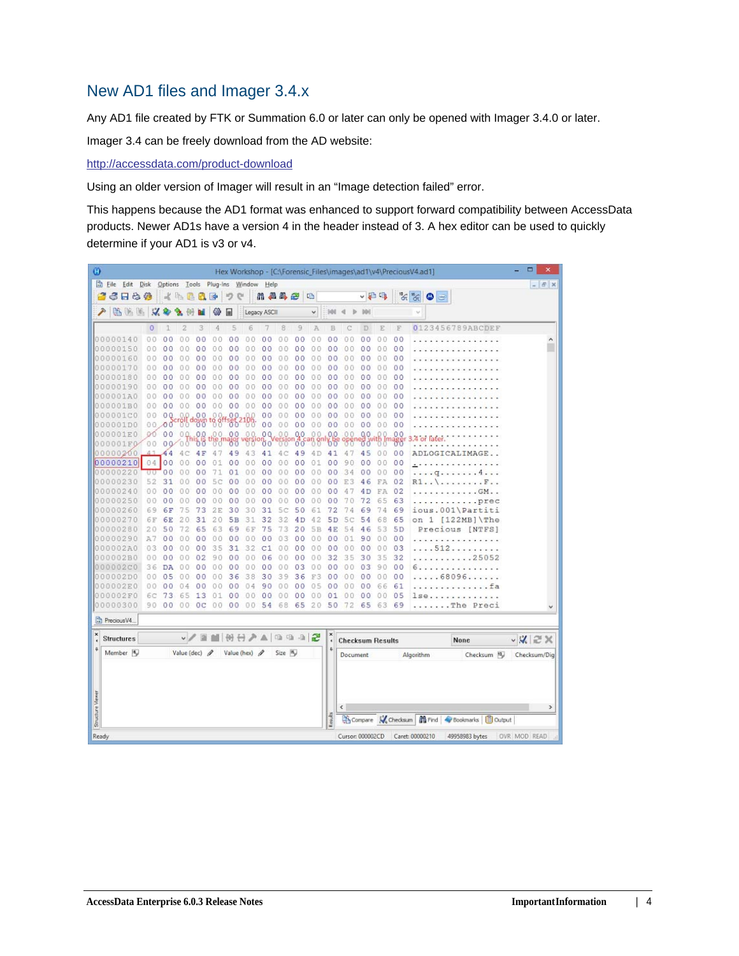## New AD1 files and Imager 3.4.x

Any AD1 file created by FTK or Summation 6.0 or later can only be opened with Imager 3.4.0 or later.

Imager 3.4 can be freely download from the AD website:

<http://accessdata.com/product-download>

Using an older version of Imager will result in an "Image detection failed" error.

This happens because the AD1 format was enhanced to support forward compatibility between AccessData products. Newer AD1s have a version 4 in the header instead of 3. A hex editor can be used to quickly determine if your AD1 is v3 or v4.

| Ø                       |                      |                |                      |                    |                      |                |                      |                                    |                    |          |                |               |                      |                         |                |                |                | Hex Workshop - [C:\Forensic_Files\images\ad1\v4\PreciousV4.ad1]             | □<br>$\boldsymbol{\mathsf{x}}$ |
|-------------------------|----------------------|----------------|----------------------|--------------------|----------------------|----------------|----------------------|------------------------------------|--------------------|----------|----------------|---------------|----------------------|-------------------------|----------------|----------------|----------------|-----------------------------------------------------------------------------|--------------------------------|
|                         | Eile Edit Disk       |                |                      |                    |                      |                |                      | Options Tools Plug-Ins Window Help |                    |          |                |               |                      |                         |                |                |                |                                                                             | $  \in$ $x$                    |
|                         | 6 F & &              |                |                      | 水中昌民国              |                      |                | $\mathcal{L}$        | $\mathbb{R}^n$                     |                    | 用品品色     |                | 唱             |                      |                         | ↓日吗            |                |                | $\frac{1}{\sqrt{2}}\frac{\omega_{\text{in}}}{\omega_{\text{in}}}$<br>۰<br>画 |                                |
|                         | 临海路                  |                | $\mathcal{A}$        |                    |                      | 镲              | 匣                    |                                    | Legacy ASCII       |          |                | $\checkmark$  | 988                  |                         |                |                |                |                                                                             |                                |
|                         |                      | $\circ$        |                      | 2                  | 3                    | 4              | 5                    | 6                                  |                    | 8        | 9              | A             | B                    |                         | D              | E              | F              | 0123456789ABCDEF                                                            |                                |
|                         | 00000140             | 0 <sub>0</sub> | 0 <sup>0</sup>       | 00                 | 00                   | 00             | 0 <sub>0</sub>       | 0 <sub>0</sub>                     | 0<br>$\circ$       | 00       | 00             | 00            | 0 <sub>0</sub>       | 00                      | 0 <sub>0</sub> | 0 <sub>0</sub> | 00             |                                                                             | ۸                              |
|                         | 00000150             | 00             | 0<br>0               | 0                  | ٥<br>$\Omega$        | 00             | 0<br>$\Omega$        | 0<br>0                             | 0<br>$\circ$       | 00       | 0 <sup>0</sup> | $\Omega$<br>0 | 0 <sup>0</sup>       | 0<br>$\Omega$           | $^{00}$        | 00             | 00             |                                                                             |                                |
|                         | 00000160             | 00             | 0 <sup>0</sup>       | 00                 | 00                   | 00             | 0 <sub>0</sub>       | 00                                 | 00                 | 00       | 0 <sup>0</sup> | 0.0           | 00                   | 00                      | 00             | 0.0            | 0 <sub>0</sub> |                                                                             |                                |
|                         | 00000170             | 00             | 00                   | 00                 | 00                   | 00             | 00                   | 00                                 | 0 <sub>0</sub>     | 00       | 0 <sup>0</sup> | 00            | 0 <sup>0</sup>       | 00                      | 00             | 00             | 00             |                                                                             |                                |
|                         | 00000180             | 00             | 0 <sup>0</sup>       | 0<br>0             | 00                   | 00             | 00                   | 00                                 | 0<br>о             | 00       | 00             | 0.0           | 00                   | 0.<br>0                 | 00             | 0.0            | 00             |                                                                             |                                |
|                         | 00000190             | 0.0            | 00                   | 00                 | 00                   | 00             | 00                   | 00                                 | 00                 | 00       | 00             | 0.0           | 00                   | 00                      | 00             | 0.0            | 00             |                                                                             |                                |
|                         | 000001A0             | 00             | 0 <sup>0</sup>       | o<br>0             | 0 <sup>0</sup>       | 0.0            | 0 <sup>0</sup>       | 00                                 | 0<br>0             | 00       | 0 <sub>0</sub> | 00            | 0 <sup>0</sup>       | 0<br>0                  | 00             | 00             | 00             |                                                                             |                                |
|                         | 000001B0             | 0.0            | 0 <sup>0</sup>       | 00                 | 00                   | 00             | 00                   | 00                                 | 00                 | 00       | 00             | 0<br>0        | 00                   | 0<br>$\theta$           | 00             | 00             | 00             |                                                                             |                                |
|                         | 000001C0             | 00             | 0Q                   | 0.0                | 00                   | O              | 0 <sup>0</sup>       |                                    | 0 <sub>0</sub>     | 00       | 00             | 00            | 0 <sub>0</sub>       | 00                      | 00             | 0 <sub>0</sub> | 00             |                                                                             |                                |
|                         | 000001D0             |                | 00.00                |                    | <b>Pulaown</b>       | $^{18}$ $^{9}$ | 0p-                  | $-88$                              | 00                 | 00       | 0 <sub>0</sub> | 00            | 0 <sup>0</sup>       | 00                      | 0 <sub>0</sub> | 00             | 00             |                                                                             |                                |
|                         | 000001E0             | OO.            | 00                   | 00.                | 0.0                  | .00.           | 00                   | 00                                 | 0Q                 | 0.0      | 0.0            | 00            | 0.0                  | 00                      | 00             | 00             | 00             | 4 or later                                                                  |                                |
|                         | 000001F0             | 00             |                      | 00'00              | ঠ ర                  |                | 38                   |                                    | ÖΟ                 |          | 00             |               | 60                   |                         | შშ             |                | ₩,             |                                                                             |                                |
|                         | 00000200             |                | 44                   | c                  | 4 F                  | 47             | 49                   | 43                                 | 41                 | 4C       | 49             | 4D            | 41                   | 4                       | 45             | 00             | 00             | ADLOGICALIMAGE                                                              |                                |
|                         | 00000210             |                | 04 00                | 0<br>0             | 0 <sup>0</sup>       | 01             | 0 <sup>0</sup>       | 00                                 | 0 <sub>0</sub>     | 00       | 0 <sub>0</sub> | 01            | 0 <sub>0</sub>       | 90                      | 00             | 0 <sub>0</sub> | 00             | .                                                                           |                                |
|                         | 00000220             | ००             | 00                   | 0                  | 00                   | 71             | 01                   | 00                                 | 00                 | 00       | 00             | 00            | 0 <sub>0</sub>       | 34                      | 00             | 0.0            | 00             | .4.<br>q                                                                    |                                |
|                         | 00000230             | 52             | 31                   | 0<br>n             | 00                   | 5<br>Ċ         | 0 <sup>0</sup>       | 00                                 | $\circ$<br>$\circ$ | 00       | 0 <sup>0</sup> | 00            | 00                   | E<br>3                  | 46             | FA             | 02             | R1.<br>.F                                                                   |                                |
|                         | 00000240             | 0.0            | 0 <sup>0</sup>       | $\circ$<br>0       | 00                   | 00             | 00                   | 00                                 | 00                 | 00       | 00             | 00            | 00                   | 4                       | 4D             | FA             | 02             | $. GM.$ .                                                                   |                                |
|                         | 00000250             | 00             | 00                   | 00                 | 00                   | 00             | 00                   | 00                                 | 00                 | 00       | 00             | 00            | 00                   | 70                      | 72             | 65             | 63             | prec                                                                        |                                |
|                         | 00000260             | 69             | 6F                   | 75                 | 73                   | 2E             | 30                   | 30                                 | 31                 | 5c       | 50             | 61            | 72                   | 74                      | 69             | 74             | 69             | ious.001\Partiti                                                            |                                |
|                         | 00000270             | 6F             | 6E                   | 20                 | 31                   | 20             | 5в                   | 31                                 | 32                 | 32       | 4 D            | 42            | 5 D                  | 5<br>с                  | 54             | 68             | 65             | $1$ [122MB] \The<br>on                                                      |                                |
|                         | 00000280             | 20             | 50                   | 72                 | 65                   | 63             | 69                   | 6F                                 | 75                 | 73       | 20             | 5B            | 4E                   | 54                      | 46             | 53             | 5 <sub>D</sub> | Precious [NTFS]                                                             |                                |
|                         | 00000290             | A7             | 00                   | 00                 | 00                   | 0 <sub>0</sub> | 00                   | 00                                 | 0<br>о             | 03       | 00             | 00            | 00                   | 01                      | 90             | 00             | 00             |                                                                             |                                |
|                         | 000002A0             | 03             | 00                   | 00                 | 00                   | 35             | 31                   | 32                                 | C1                 | 00       | 00             | 00            | 0 <sup>0</sup>       | 00                      | 00             | 00             | 03             | .512                                                                        |                                |
|                         | 000002B0             | 00             | 00                   | 00                 | 02<br>0 <sup>0</sup> | 90             | 0 <sub>0</sub>       | 0.0                                | 06                 | 00       | 00             | 00            | 32                   | 35                      | 30             | 35             | 32             | 25052                                                                       |                                |
|                         | 000002C0<br>000002D0 | 36             | <b>DA</b>            | 0<br>0<br>0        |                      | 00<br>0.0      | 00                   | 00<br>38                           | 0 <sup>0</sup>     | 00<br>39 | 03<br>36       | 00<br>F3      | 00                   | 0<br>0<br>0             | 03             | 90             | 00             | .<br>.68096                                                                 |                                |
|                         | 000002E0             | 00<br>0.0      | 05<br>0 <sub>0</sub> | $\circ$            | 00<br>00             |                | 36<br>0 <sub>0</sub> | 04                                 | 30<br>90           | 00       | 00             | 05            | 0 <sup>0</sup><br>00 | 0<br>0                  | 00<br>00       | 0.0<br>66      | 00             |                                                                             |                                |
|                         | 000002F0             | 6С             | 73                   | 5<br>6             | 13                   | 01             | 00                   | 00                                 | 0 <sup>0</sup>     | 00       | 0 <sup>0</sup> | 00            | 01                   | 0.0                     | 00             | 0 <sup>0</sup> | 61<br>05       | $-1 - 1 - 1$<br>lse                                                         |                                |
|                         | 00000300             | 90             | 00                   | 00                 | 0 <sup>c</sup>       | 00             | 0 <sub>0</sub>       | 00                                 | 54                 | 68       | 65             | 20            | 50                   | 72                      | 65             | 63             |                | The Preci                                                                   |                                |
|                         |                      |                |                      |                    |                      |                |                      |                                    |                    |          |                |               |                      |                         |                |                | 69             |                                                                             |                                |
|                         | Precious V4.         |                |                      |                    |                      |                |                      |                                    |                    |          |                |               |                      |                         |                |                |                |                                                                             |                                |
|                         | <b>Structures</b>    |                |                      |                    | $\sqrt{2}$           |                |                      | IBH 공기 A   매매매 2                   |                    |          |                |               | ×<br>$\epsilon$      | <b>Checksum Results</b> |                |                |                | None                                                                        | $\vee$ X $\cong$ X             |
|                         | Member <sub>16</sub> |                |                      | Value (dec) $\rho$ |                      |                |                      | Value (hex) /                      |                    | Size In  |                |               | $\ddot{\Phi}$        | Document                |                |                |                | Checksum 10<br>Algorithm                                                    | Checksum/Dig                   |
| <b>Structure Viewer</b> |                      |                |                      |                    |                      |                |                      |                                    |                    |          |                |               | Readts               | ¢                       |                |                |                | Compare W Checksum   6 Find   Bookmarks   B Output                          | $\rightarrow$                  |
| Ready                   |                      |                |                      |                    |                      |                |                      |                                    |                    |          |                |               |                      | Cursor: 000002CD        |                |                |                | Caret: 00000210<br>49958983 bytes                                           | OVR MOD READ                   |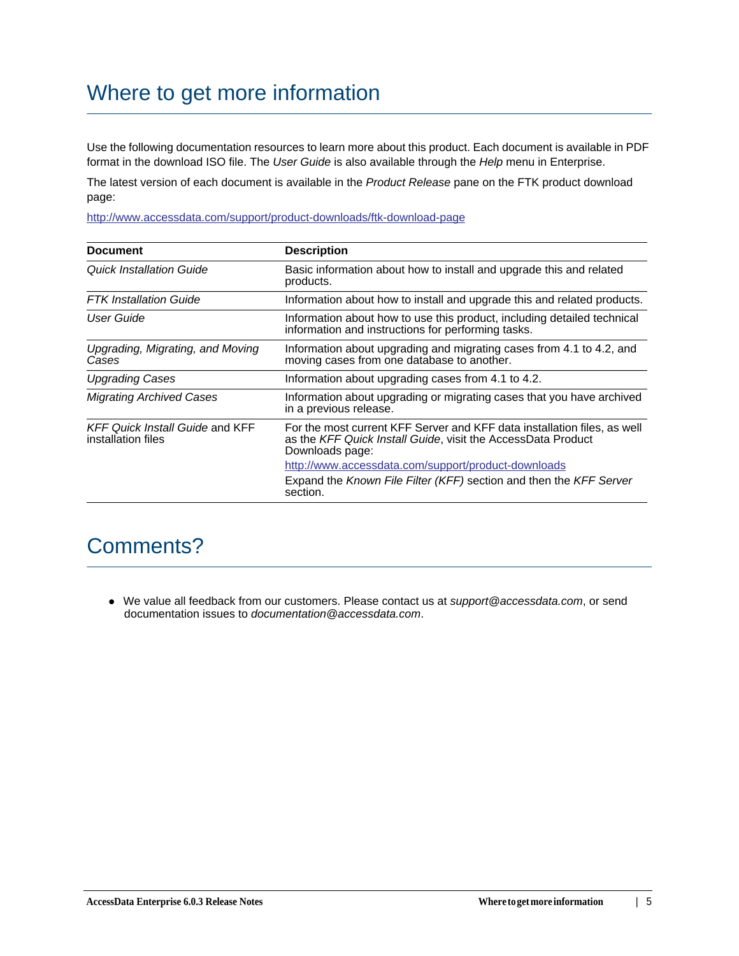# Where to get more information

Use the following documentation resources to learn more about this product. Each document is available in PDF format in the download ISO file. The *User Guide* is also available through the *Help* menu in Enterprise.

The latest version of each document is available in the *Product Release* pane on the FTK product download page:

[h](http://www.accessdata.com/support/product-downloads/ftk-download-page)ttp://www.accessdata.com/support/product-downloads/ftk-download-page

| <b>Document</b>                                              | <b>Description</b>                                                                                                                                          |
|--------------------------------------------------------------|-------------------------------------------------------------------------------------------------------------------------------------------------------------|
| <b>Quick Installation Guide</b>                              | Basic information about how to install and upgrade this and related<br>products.                                                                            |
| <b>FTK</b> Installation Guide                                | Information about how to install and upgrade this and related products.                                                                                     |
| User Guide                                                   | Information about how to use this product, including detailed technical<br>information and instructions for performing tasks.                               |
| Upgrading, Migrating, and Moving<br>Cases                    | Information about upgrading and migrating cases from 4.1 to 4.2, and<br>moving cases from one database to another.                                          |
| <b>Upgrading Cases</b>                                       | Information about upgrading cases from 4.1 to 4.2.                                                                                                          |
| <b>Migrating Archived Cases</b>                              | Information about upgrading or migrating cases that you have archived<br>in a previous release.                                                             |
| <b>KFF Quick Install Guide and KFF</b><br>installation files | For the most current KFF Server and KFF data installation files, as well<br>as the KFF Quick Install Guide, visit the AccessData Product<br>Downloads page: |
|                                                              | http://www.accessdata.com/support/product-downloads                                                                                                         |
|                                                              | Expand the Known File Filter (KFF) section and then the KFF Server<br>section.                                                                              |

## Comments?

We value all feedback from our customers. Please contact us at *support@accessdata.com*, or send documentation issues to *documentation@accessdata.com*.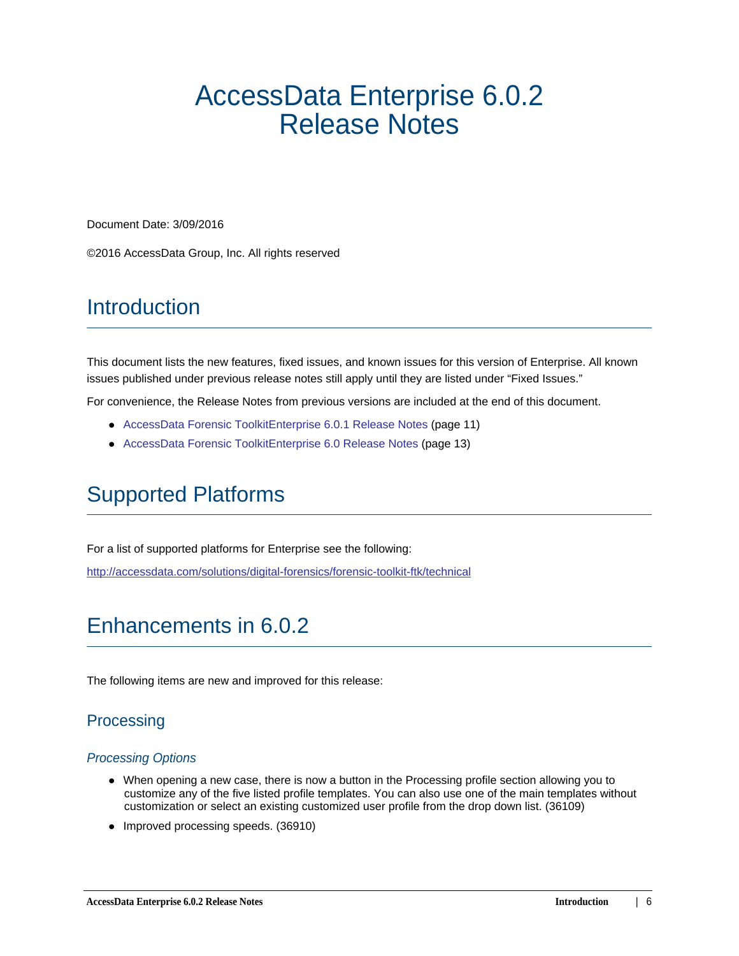# <span id="page-5-0"></span>AccessData Enterprise 6.0.2 Release Notes

Document Date: 3/09/2016

©2016 AccessData Group, Inc. All rights reserved

## **Introduction**

This document lists the new features, fixed issues, and known issues for this version of Enterprise. All known issues published under previous release notes still apply until they are listed under "Fixed Issues."

For convenience, the Release Notes from previous versions are included at the end of this document.

- [AccessData Forensic ToolkitEnterprise 6.0.1 Release Notes \(page 11\)](#page-9-0)
- [AccessData Forensic ToolkitEnterprise 6.0 Release Notes \(page 13\)](#page-11-0)

# Supported Platforms

For a list of supported platforms for Enterprise see the following:

<http://accessdata.com/solutions/digital-forensics/forensic-toolkit-ftk/technical>

# Enhancements in 6.0.2

The following items are new and improved for this release:

## **Processing**

#### *Processing Options*

- When opening a new case, there is now a button in the Processing profile section allowing you to customize any of the five listed profile templates. You can also use one of the main templates without customization or select an existing customized user profile from the drop down list. (36109)
- Improved processing speeds. (36910)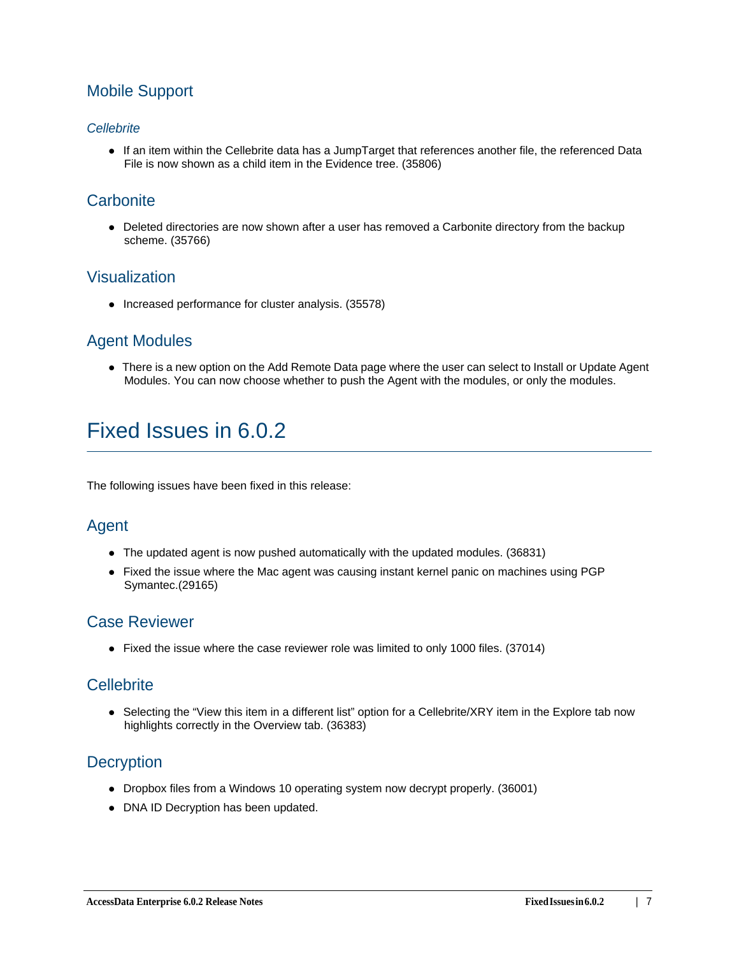## Mobile Support

### *Cellebrite*

If an item within the Cellebrite data has a JumpTarget that references another file, the referenced Data File is now shown as a child item in the Evidence tree. (35806)

## **Carbonite**

Deleted directories are now shown after a user has removed a Carbonite directory from the backup scheme. (35766)

## Visualization

• Increased performance for cluster analysis. (35578)

## Agent Modules

• There is a new option on the Add Remote Data page where the user can select to Install or Update Agent Modules. You can now choose whether to push the Agent with the modules, or only the modules.

# Fixed Issues in 6.0.2

The following issues have been fixed in this release:

## Agent

- The updated agent is now pushed automatically with the updated modules. (36831)
- Fixed the issue where the Mac agent was causing instant kernel panic on machines using PGP Symantec.(29165)

## Case Reviewer

Fixed the issue where the case reviewer role was limited to only 1000 files. (37014)

## **Cellebrite**

• Selecting the "View this item in a different list" option for a Cellebrite/XRY item in the Explore tab now highlights correctly in the Overview tab. (36383)

## **Decryption**

- Dropbox files from a Windows 10 operating system now decrypt properly. (36001)
- DNA ID Decryption has been updated.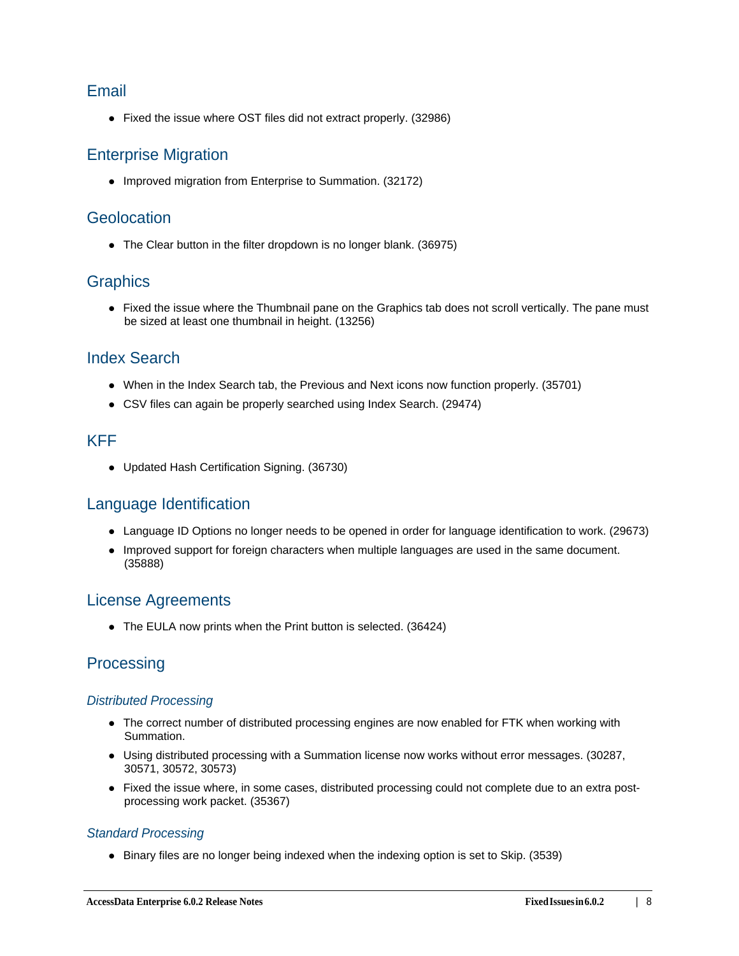## Email

Fixed the issue where OST files did not extract properly. (32986)

## Enterprise Migration

• Improved migration from Enterprise to Summation. (32172)

## **Geolocation**

The Clear button in the filter dropdown is no longer blank. (36975)

## **Graphics**

• Fixed the issue where the Thumbnail pane on the Graphics tab does not scroll vertically. The pane must be sized at least one thumbnail in height. (13256)

## Index Search

- When in the Index Search tab, the Previous and Next icons now function properly. (35701)
- CSV files can again be properly searched using Index Search. (29474)

## KFF

Updated Hash Certification Signing. (36730)

## Language Identification

- Language ID Options no longer needs to be opened in order for language identification to work. (29673)
- Improved support for foreign characters when multiple languages are used in the same document. (35888)

## License Agreements

• The EULA now prints when the Print button is selected. (36424)

## **Processing**

## *Distributed Processing*

- The correct number of distributed processing engines are now enabled for FTK when working with Summation.
- Using distributed processing with a Summation license now works without error messages. (30287, 30571, 30572, 30573)
- Fixed the issue where, in some cases, distributed processing could not complete due to an extra postprocessing work packet. (35367)

## *Standard Processing*

Binary files are no longer being indexed when the indexing option is set to Skip. (3539)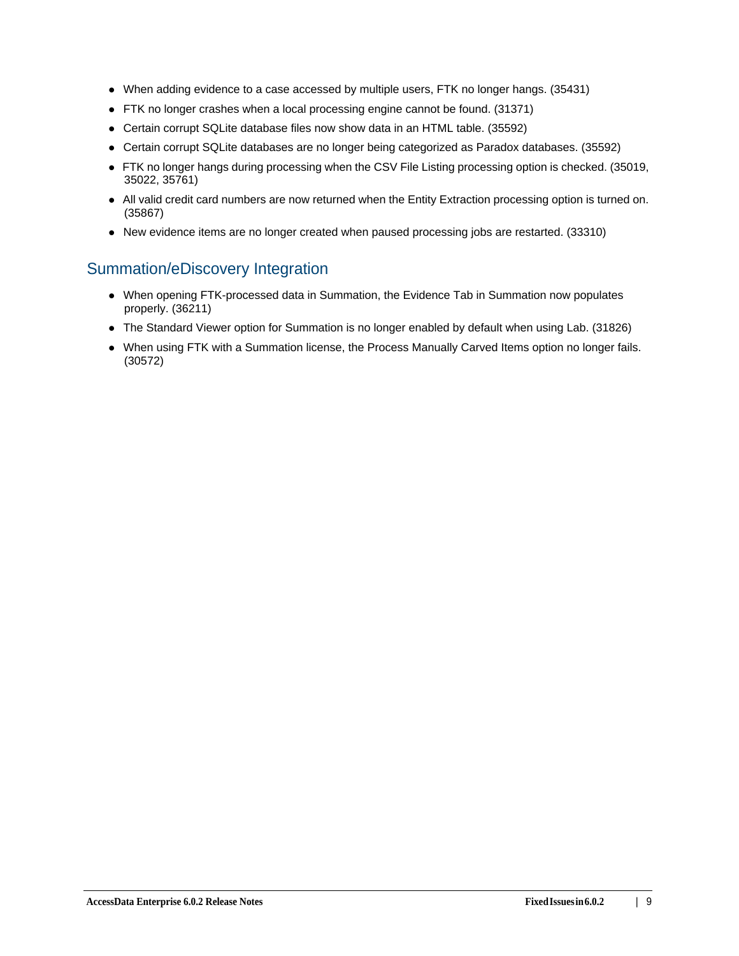- When adding evidence to a case accessed by multiple users, FTK no longer hangs. (35431)
- FTK no longer crashes when a local processing engine cannot be found. (31371)
- Certain corrupt SQLite database files now show data in an HTML table. (35592)
- Certain corrupt SQLite databases are no longer being categorized as Paradox databases. (35592)
- FTK no longer hangs during processing when the CSV File Listing processing option is checked. (35019, 35022, 35761)
- All valid credit card numbers are now returned when the Entity Extraction processing option is turned on. (35867)
- New evidence items are no longer created when paused processing jobs are restarted. (33310)

## Summation/eDiscovery Integration

- When opening FTK-processed data in Summation, the Evidence Tab in Summation now populates properly. (36211)
- The Standard Viewer option for Summation is no longer enabled by default when using Lab. (31826)
- When using FTK with a Summation license, the Process Manually Carved Items option no longer fails. (30572)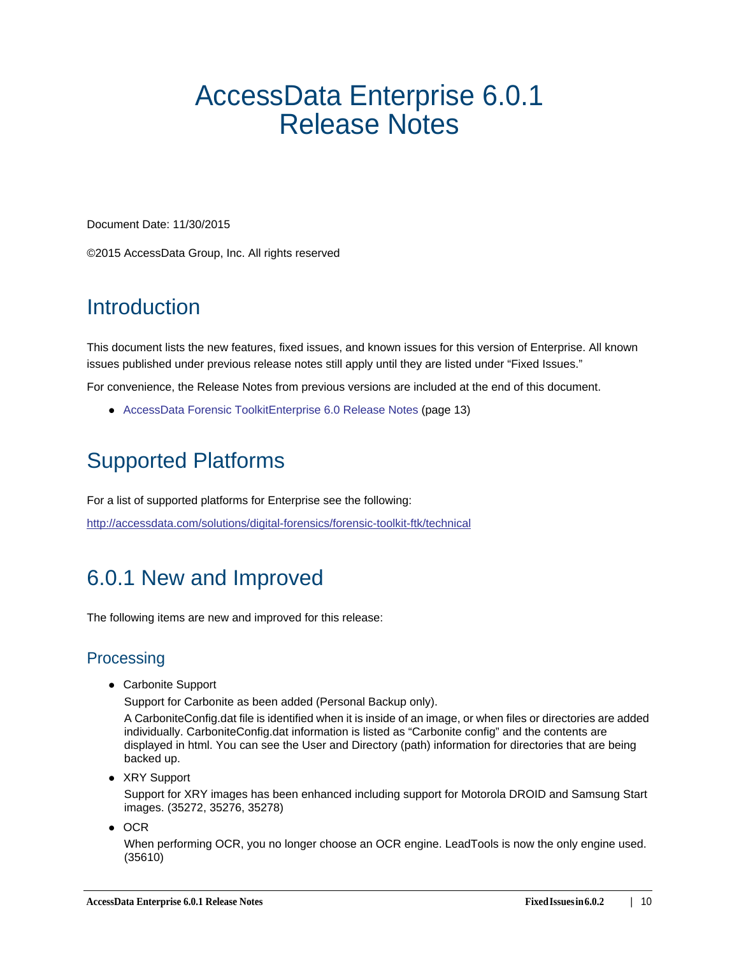# <span id="page-9-0"></span>AccessData Enterprise 6.0.1 Release Notes

Document Date: 11/30/2015

©2015 AccessData Group, Inc. All rights reserved

# **Introduction**

This document lists the new features, fixed issues, and known issues for this version of Enterprise. All known issues published under previous release notes still apply until they are listed under "Fixed Issues."

For convenience, the Release Notes from previous versions are included at the end of this document.

[AccessData Forensic ToolkitEnterprise 6.0 Release Notes \(page 13\)](#page-11-0)

# Supported Platforms

For a list of supported platforms for Enterprise see the following:

<http://accessdata.com/solutions/digital-forensics/forensic-toolkit-ftk/technical>

# 6.0.1 New and Improved

The following items are new and improved for this release:

## **Processing**

Carbonite Support

Support for Carbonite as been added (Personal Backup only).

A CarboniteConfig.dat file is identified when it is inside of an image, or when files or directories are added individually. CarboniteConfig.dat information is listed as "Carbonite config" and the contents are displayed in html. You can see the User and Directory (path) information for directories that are being backed up.

• XRY Support

Support for XRY images has been enhanced including support for Motorola DROID and Samsung Start images. (35272, 35276, 35278)

 $\bullet$  OCR

When performing OCR, you no longer choose an OCR engine. LeadTools is now the only engine used. (35610)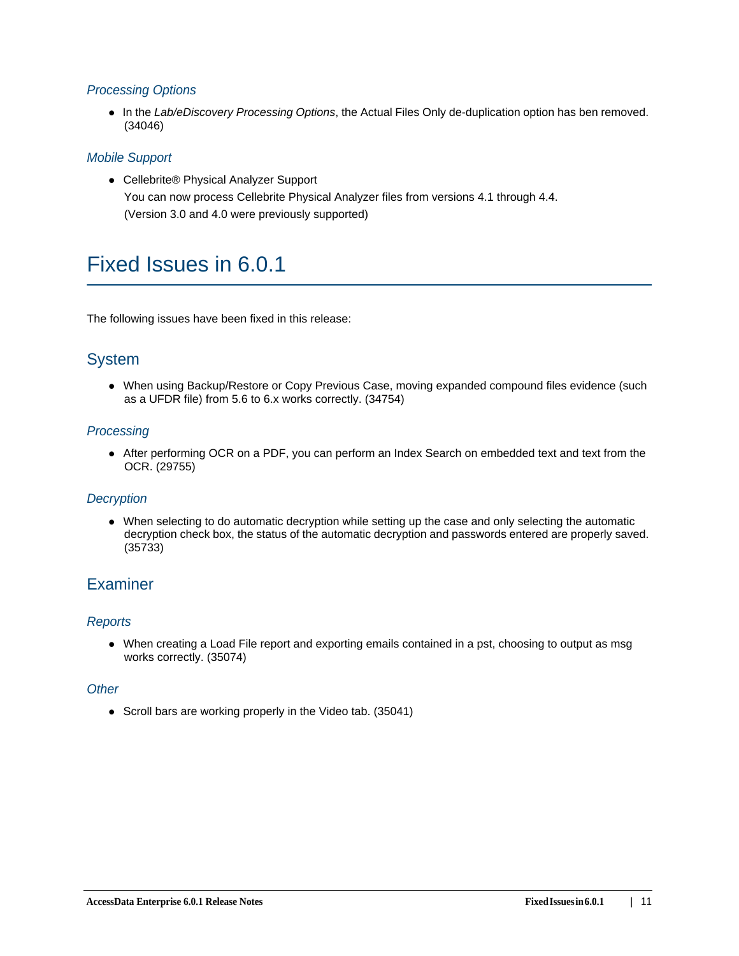## *Processing Options*

In the *Lab/eDiscovery Processing Options*, the Actual Files Only de-duplication option has ben removed. (34046)

### *Mobile Support*

● Cellebrite® Physical Analyzer Support You can now process Cellebrite Physical Analyzer files from versions 4.1 through 4.4. (Version 3.0 and 4.0 were previously supported)

# Fixed Issues in 6.0.1

The following issues have been fixed in this release:

## System

When using Backup/Restore or Copy Previous Case, moving expanded compound files evidence (such as a UFDR file) from 5.6 to 6.x works correctly. (34754)

## *Processing*

After performing OCR on a PDF, you can perform an Index Search on embedded text and text from the OCR. (29755)

### *Decryption*

When selecting to do automatic decryption while setting up the case and only selecting the automatic decryption check box, the status of the automatic decryption and passwords entered are properly saved. (35733)

## **Examiner**

### *Reports*

When creating a Load File report and exporting emails contained in a pst, choosing to output as msg works correctly. (35074)

#### *Other*

• Scroll bars are working properly in the Video tab. (35041)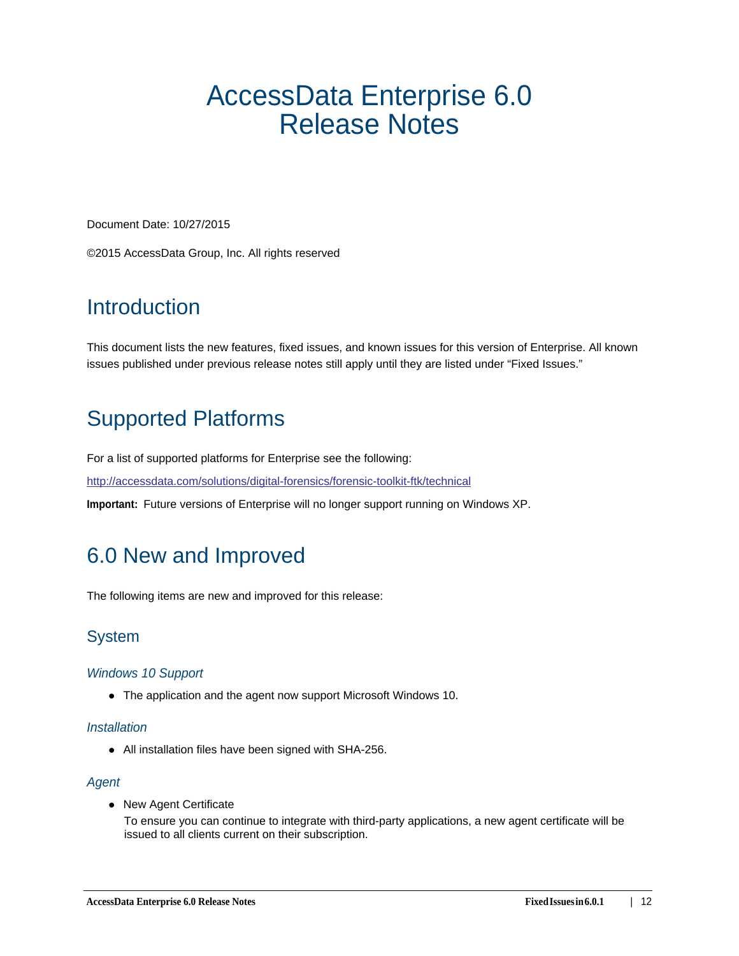# <span id="page-11-0"></span>AccessData Enterprise 6.0 Release Notes

Document Date: 10/27/2015

©2015 AccessData Group, Inc. All rights reserved

# **Introduction**

This document lists the new features, fixed issues, and known issues for this version of Enterprise. All known issues published under previous release notes still apply until they are listed under "Fixed Issues."

# Supported Platforms

For a list of supported platforms for Enterprise see the following:

<http://accessdata.com/solutions/digital-forensics/forensic-toolkit-ftk/technical>

**Important:** Future versions of Enterprise will no longer support running on Windows XP.

# 6.0 New and Improved

The following items are new and improved for this release:

## System

### *Windows 10 Support*

The application and the agent now support Microsoft Windows 10.

### *Installation*

All installation files have been signed with SHA-256.

### *Agent*

• New Agent Certificate

To ensure you can continue to integrate with third-party applications, a new agent certificate will be issued to all clients current on their subscription.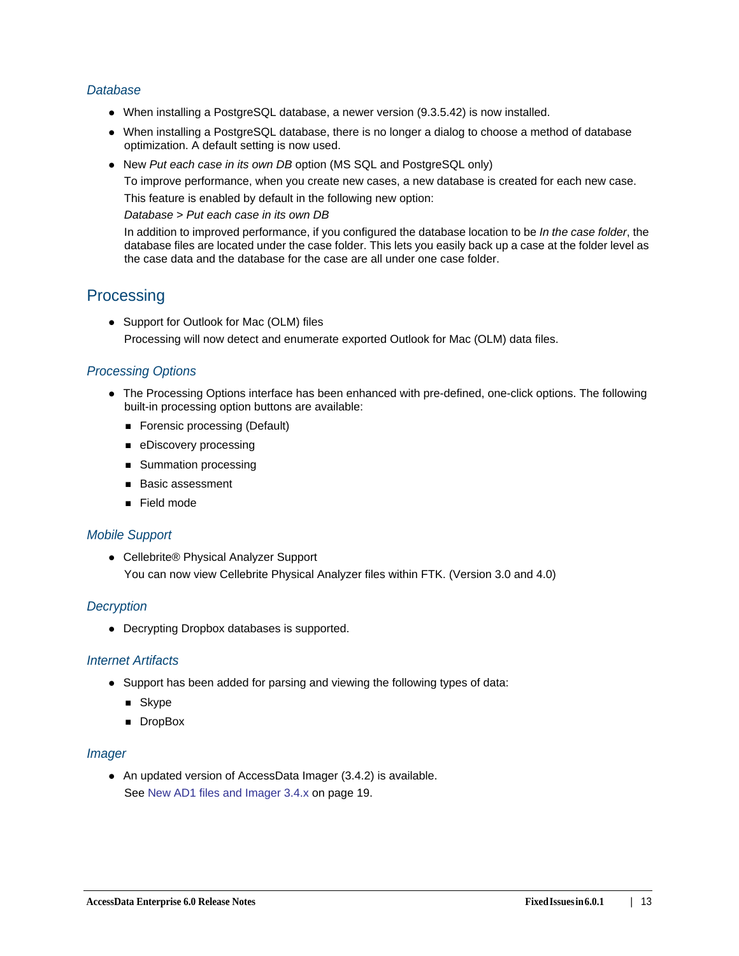### *Database*

- When installing a PostgreSQL database, a newer version (9.3.5.42) is now installed.
- When installing a PostgreSQL database, there is no longer a dialog to choose a method of database optimization. A default setting is now used.
- New *Put each case in its own DB* option (MS SQL and PostgreSQL only)

To improve performance, when you create new cases, a new database is created for each new case.

This feature is enabled by default in the following new option:

*Database* > *Put each case in its own DB*

In addition to improved performance, if you configured the database location to be *In the case folder*, the database files are located under the case folder. This lets you easily back up a case at the folder level as the case data and the database for the case are all under one case folder.

## **Processing**

• Support for Outlook for Mac (OLM) files Processing will now detect and enumerate exported Outlook for Mac (OLM) data files.

### *Processing Options*

- The Processing Options interface has been enhanced with pre-defined, one-click options. The following built-in processing option buttons are available:
	- **Forensic processing (Default)**
	- **eDiscovery processing**
	- **Summation processing**
	- **Basic assessment**
	- Field mode

### *Mobile Support*

● Cellebrite® Physical Analyzer Support You can now view Cellebrite Physical Analyzer files within FTK. (Version 3.0 and 4.0)

### *Decryption*

Decrypting Dropbox databases is supported.

### *Internet Artifacts*

- Support has been added for parsing and viewing the following types of data:
	- **B** Skype
	- **DropBox**

#### *Imager*

An updated version of AccessData Imager (3.4.2) is available. [See New AD1 files and Imager 3.4.x on page 19.](#page-16-0)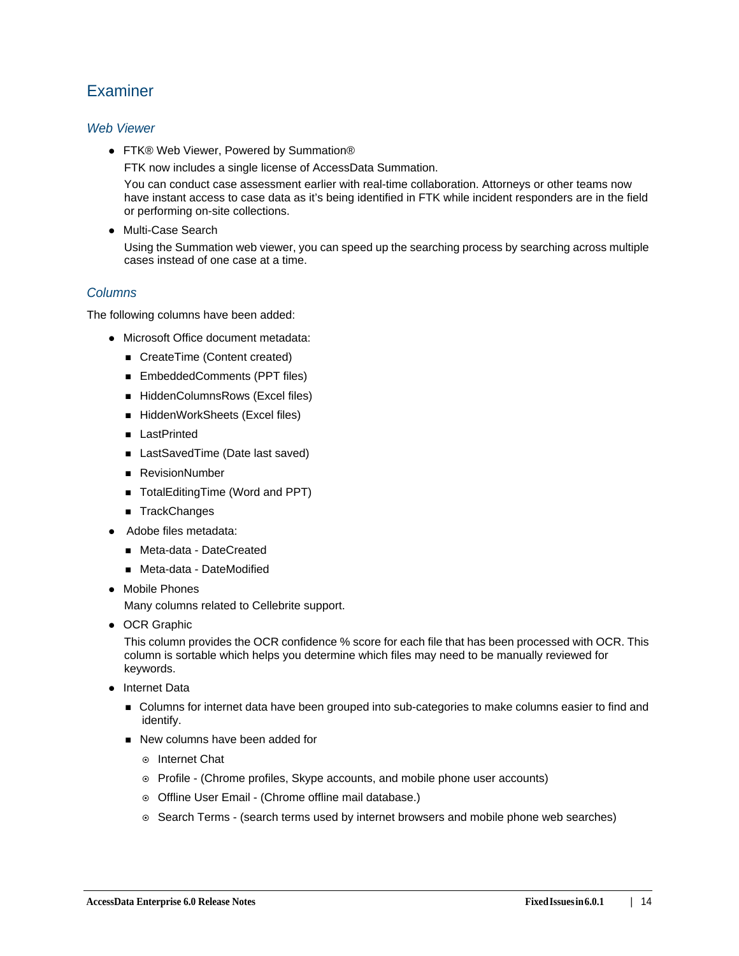## **Examiner**

### *Web Viewer*

● FTK® Web Viewer, Powered by Summation®

FTK now includes a single license of AccessData Summation.

You can conduct case assessment earlier with real-time collaboration. Attorneys or other teams now have instant access to case data as it's being identified in FTK while incident responders are in the field or performing on-site collections.

Multi-Case Search

Using the Summation web viewer, you can speed up the searching process by searching across multiple cases instead of one case at a time.

## *Columns*

The following columns have been added:

- Microsoft Office document metadata:
	- CreateTime (Content created)
	- EmbeddedComments (PPT files)
	- HiddenColumnsRows (Excel files)
	- HiddenWorkSheets (Excel files)
	- **LastPrinted**
	- LastSavedTime (Date last saved)
	- RevisionNumber
	- TotalEditingTime (Word and PPT)
	- TrackChanges
- Adobe files metadata:
	- Meta-data DateCreated
	- Meta-data DateModified
- Mobile Phones

Many columns related to Cellebrite support.

• OCR Graphic

This column provides the OCR confidence % score for each file that has been processed with OCR. This column is sortable which helps you determine which files may need to be manually reviewed for keywords.

- Internet Data
	- **DED Columns for internet data have been grouped into sub-categories to make columns easier to find and** identify.
	- New columns have been added for
		- **◎** Internet Chat
		- Profile (Chrome profiles, Skype accounts, and mobile phone user accounts)
		- o Offline User Email (Chrome offline mail database.)
		- $\circ$  Search Terms (search terms used by internet browsers and mobile phone web searches)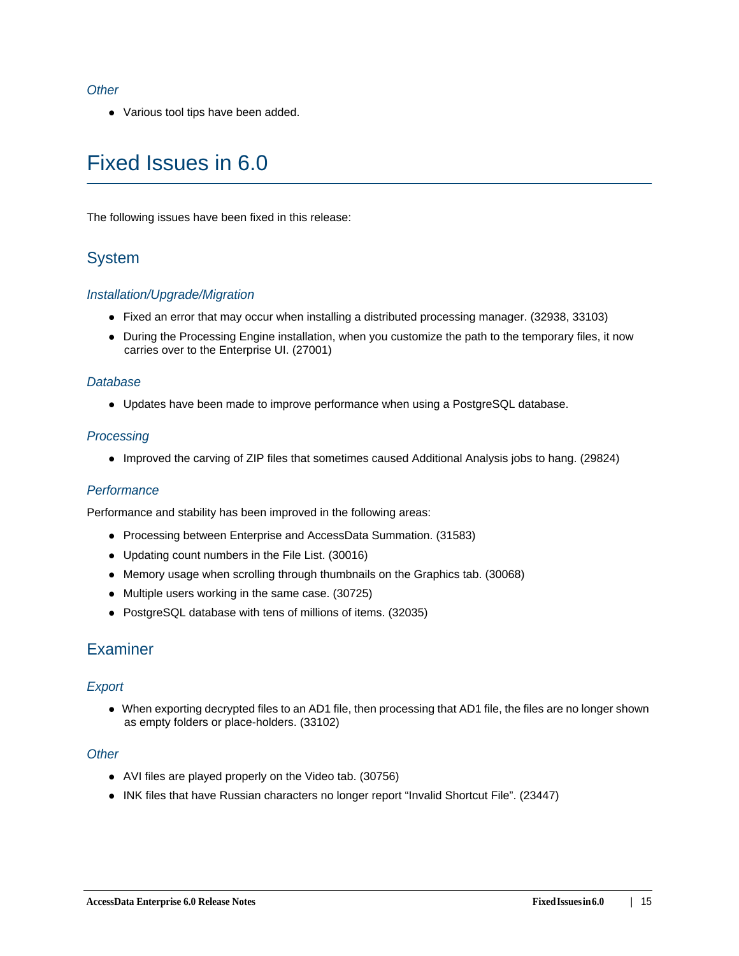#### *Other*

Various tool tips have been added.

# Fixed Issues in 6.0

The following issues have been fixed in this release:

## System

#### *Installation/Upgrade/Migration*

- Fixed an error that may occur when installing a distributed processing manager. (32938, 33103)
- During the Processing Engine installation, when you customize the path to the temporary files, it now carries over to the Enterprise UI. (27001)

#### *Database*

Updates have been made to improve performance when using a PostgreSQL database.

#### *Processing*

Improved the carving of ZIP files that sometimes caused Additional Analysis jobs to hang. (29824)

### *Performance*

Performance and stability has been improved in the following areas:

- Processing between Enterprise and AccessData Summation. (31583)
- Updating count numbers in the File List. (30016)
- Memory usage when scrolling through thumbnails on the Graphics tab. (30068)
- Multiple users working in the same case. (30725)
- PostgreSQL database with tens of millions of items. (32035)

## **Examiner**

### *Export*

When exporting decrypted files to an AD1 file, then processing that AD1 file, the files are no longer shown as empty folders or place-holders. (33102)

#### *Other*

- AVI files are played properly on the Video tab. (30756)
- INK files that have Russian characters no longer report "Invalid Shortcut File". (23447)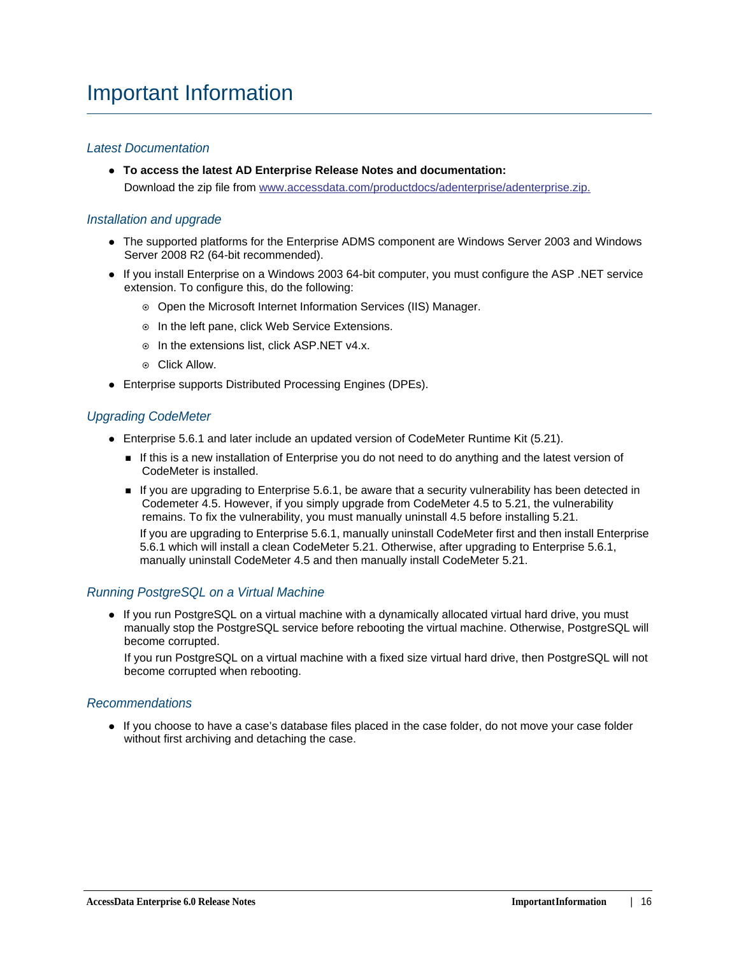#### *Latest Documentation*

**To access the latest AD Enterprise Release Notes and documentation:** Download the zip file from [www.accessdata.com/productdocs/adenterprise/adenterprise.zip.](www.accessdata.com/productdocs/adenterprise/adenterprise.zip)

#### *Installation and upgrade*

- The supported platforms for the Enterprise ADMS component are Windows Server 2003 and Windows Server 2008 R2 (64-bit recommended).
- If you install Enterprise on a Windows 2003 64-bit computer, you must configure the ASP .NET service extension. To configure this, do the following:
	- Open the Microsoft Internet Information Services (IIS) Manager.
	- o In the left pane, click Web Service Extensions.
	- o In the extensions list, click ASP.NET v4.x.
	- Click Allow.
- Enterprise supports Distributed Processing Engines (DPEs).

#### *Upgrading CodeMeter*

- Enterprise 5.6.1 and later include an updated version of CodeMeter Runtime Kit (5.21).
	- If this is a new installation of Enterprise you do not need to do anything and the latest version of CodeMeter is installed.
	- If you are upgrading to Enterprise 5.6.1, be aware that a security vulnerability has been detected in Codemeter 4.5. However, if you simply upgrade from CodeMeter 4.5 to 5.21, the vulnerability remains. To fix the vulnerability, you must manually uninstall 4.5 before installing 5.21.

If you are upgrading to Enterprise 5.6.1, manually uninstall CodeMeter first and then install Enterprise 5.6.1 which will install a clean CodeMeter 5.21. Otherwise, after upgrading to Enterprise 5.6.1, manually uninstall CodeMeter 4.5 and then manually install CodeMeter 5.21.

### *Running PostgreSQL on a Virtual Machine*

• If you run PostgreSQL on a virtual machine with a dynamically allocated virtual hard drive, you must manually stop the PostgreSQL service before rebooting the virtual machine. Otherwise, PostgreSQL will become corrupted.

If you run PostgreSQL on a virtual machine with a fixed size virtual hard drive, then PostgreSQL will not become corrupted when rebooting.

#### *Recommendations*

If you choose to have a case's database files placed in the case folder, do not move your case folder without first archiving and detaching the case.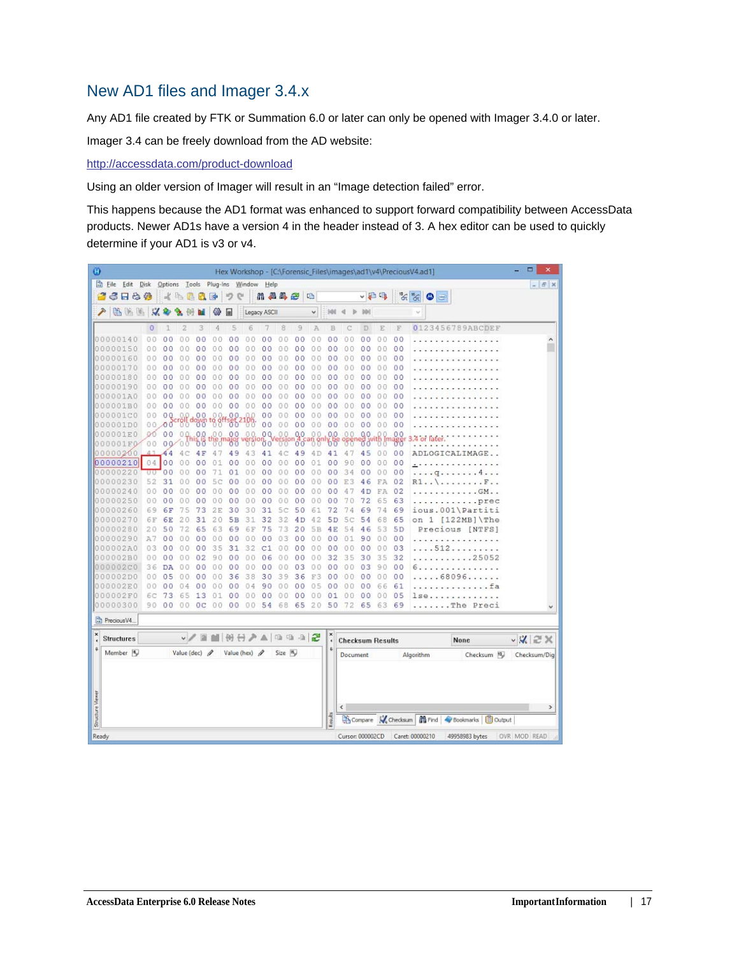## <span id="page-16-0"></span>New AD1 files and Imager 3.4.x

Any AD1 file created by FTK or Summation 6.0 or later can only be opened with Imager 3.4.0 or later.

Imager 3.4 can be freely download from the AD website:

<http://accessdata.com/product-download>

Using an older version of Imager will result in an "Image detection failed" error.

This happens because the AD1 format was enhanced to support forward compatibility between AccessData products. Newer AD1s have a version 4 in the header instead of 3. A hex editor can be used to quickly determine if your AD1 is v3 or v4.

| Ø                |                      |                |                |                                    |                |           |                      |                 |                |                |                |                |                              |                         |                |                |                | Hex Workshop - [C:\Forensic_Files\images\ad1\v4\PreciousV4.ad1] | ۰<br>$\boldsymbol{\mathsf{x}}$ |
|------------------|----------------------|----------------|----------------|------------------------------------|----------------|-----------|----------------------|-----------------|----------------|----------------|----------------|----------------|------------------------------|-------------------------|----------------|----------------|----------------|-----------------------------------------------------------------|--------------------------------|
|                  | Eile Edit Disk       |                |                | Options Tools Plug-Ins Window Help |                |           |                      |                 |                |                |                |                |                              |                         |                |                |                |                                                                 | $  \in$ $x$                    |
|                  | 6 F & #              |                |                | 《毛星代国                              |                |           | り                    | e               |                | 品品品色           |                | 唱              |                              |                         | ↓日吗            |                |                | $\frac{1}{\sqrt{2}}\sum_{i=1}^{\infty}$<br>٥<br>$\equiv$        |                                |
| ₽                | 临海路                  | $\mathcal{A}$  |                |                                    |                | 镲         | 匣                    |                 | Legacy ASCII   |                |                | ٧              | 988                          |                         |                |                |                |                                                                 |                                |
|                  |                      | $\circ$        |                | 2                                  | 3              | 4         | 5                    | 6               |                | 8              | 9              | A              | B                            |                         | D              | Ē              | F              | 0123456789ABCDEF                                                |                                |
|                  | 00000140             | 0 <sub>0</sub> | 0 <sup>0</sup> | O                                  | 0 <sub>0</sub> | 0.0       | 0 <sub>0</sub>       | 0.O             | 00             | 00             | 00             | 00             | 0 <sub>0</sub>               | 0<br>Ð                  | 0 <sub>0</sub> | 00             | 00             |                                                                 | ۸                              |
|                  | 00000150             | 00             | 0<br>0         | 0                                  | 0<br>$\circ$   | Û.<br>0   | 0<br>0               | 0<br>0          | 0 <sup>0</sup> | 00             | 0 <sup>0</sup> | $\theta$<br>0  | 0 <sup>0</sup>               | 0<br>0                  | 00             | 00             | 00             |                                                                 |                                |
|                  | 00000160             | 00             | 0 <sup>0</sup> | 0                                  | 0 <sup>0</sup> | 00        | 0 <sub>0</sub>       | 00              | 0 <sup>0</sup> | 00             | 0 <sub>0</sub> | 0.0            | 0 <sup>0</sup>               | $\theta$<br>$\Omega$    | 00             | 0.0            | 0 <sub>0</sub> |                                                                 |                                |
|                  | 00000170             | 00             | 00             | Ð                                  | 00             | 00        | 0 <sup>0</sup>       | 00              | 0 <sub>0</sub> | 00             | 0 <sup>0</sup> | 00             | 00                           | 00                      | 00             | 00             | 00             |                                                                 |                                |
|                  | 00000180             | 00             | 00             | 0                                  | 00             | 00        | 0<br>0               | 00              | 0<br>0         | 00             | 00             | 0.0            | 00                           | 00                      | 00             | 0.0            | 00             |                                                                 |                                |
|                  | 00000190             | 00             | o<br>O         | ο                                  | oο             | 00        | 00                   | 00              | 00             | 00             | 0 <sub>0</sub> | 0.0            | 00                           | 00                      | 00             | 0.0            | 00             |                                                                 |                                |
|                  | 000001A0             | 00             | 0<br>0         |                                    | 0 <sub>0</sub> | o.        | 0<br>0               | 00              | $\circ$<br>0   | 00             | 0 <sub>0</sub> | 00             | 0 <sub>0</sub>               | 0<br>0                  | 00             | 00             | 0 <sup>0</sup> |                                                                 |                                |
|                  | 000001B0             | 0.0            | 00             | $\circ$<br>0                       | 0 <sup>0</sup> | 00        | 00                   | 00              | 0 <sup>0</sup> | 00             | 0 <sup>0</sup> | O<br>Ð         | 00                           | 0<br>$\Omega$           | 00             | 00             | 00             |                                                                 |                                |
|                  | 000001C0             | 00             | 0Q             |                                    | 0 <sup>0</sup> |           | 0 <sup>0</sup>       |                 | 00             | 00             | 00             | 00             | 0 <sub>0</sub>               | 00                      | 00             | 0 <sub>0</sub> | 00             |                                                                 |                                |
|                  | 000001D0             | 00             | 00             | <b>Bu</b> down                     |                | $^{188}$  | .00                  | -88             | 0 <sup>0</sup> | 00             | 0 <sup>0</sup> | 00             | 0 <sup>0</sup>               | 00                      | 0 <sup>0</sup> | 00             | 00             |                                                                 |                                |
| 10.0             | 0001E0               | OO.            | 00             | 00.                                | 0.0            | 00.       | 0 <sub>0</sub>       | 0.0             | 0Q             | 0.0            | 0.0            | 0 <sub>0</sub> | 0,0                          | 00                      | 00             | o<br>0         | 0 <sub>0</sub> | $4$ or                                                          |                                |
|                  | 000001F0             | 00             |                | 00000                              | ত ত            |           |                      |                 | 00             |                | 00             |                | 00                           |                         | őσ             |                | ₩              |                                                                 |                                |
|                  | 00000200             |                | 44             |                                    | 4 F            | 4         | 49                   | 43              | 41             | 4C             | 49             | 4 D            | 41                           | 4                       | 45             | 0 <sub>0</sub> | 00             | ADLOGICALIMAG                                                   |                                |
|                  | 00000210             |                | 04 00          | 0<br>0                             | 0 <sup>0</sup> | 01        | 0 <sup>0</sup>       | 00              | 0 <sup>0</sup> | 00             | 00             | 01             | 0 <sub>0</sub>               | 9<br>$\theta$           | $^{00}$        | 0 <sub>0</sub> | 00             |                                                                 |                                |
|                  | 00000220             | υU             | 0 <sup>0</sup> |                                    | 00             | 71        | 01                   | 00              | 00             | 00             | 00             | 0 <sub>0</sub> | 0 <sub>0</sub>               | 34                      | 00             | 0 <sub>0</sub> | 00             | a                                                               |                                |
|                  | 00000230             | 52             | 31             | 0<br>n                             | 00             | 5<br>Ċ    | 00                   | 00              | 00             | 00             | 00             | 00             | 0 <sub>0</sub>               | 3<br>E                  | 46             | FA             | 02             | R1.                                                             |                                |
|                  | 00000240             | 0 <sub>0</sub> | 0 <sup>0</sup> | 0<br>Ω                             | 00             | 00        | 0 <sub>0</sub>       | 00              | 0 <sub>0</sub> | 00             | 00             | 00             | 00                           | 4                       | 4D             | FA             | 02             | $.$ $GM.$ .                                                     |                                |
|                  | 00000250             | 00             | 00             | 0<br>Ð                             | 00             | 00        | 00                   | 00              | 00             | 00             | 00             | 00             | 00                           | 70                      | 72             | 65             | 63             | .prec                                                           |                                |
|                  | 00000260             | 69             | 6F             | 75                                 | 73             | 2E        | 30                   | 30              | 31             | 5c             | 50             | 61             | 72                           | 74                      | 69             | 74             | 69             | ious.001\Partiti                                                |                                |
|                  | 00000270             | 6F             | 6E             | 2                                  | 31             | 20        | 5B                   | 31              | 32             | 32             | 4D             | 42             | 5 <sub>D</sub>               | 5<br>с                  | 54             | 68             | 65             | $\mathbf{1}$<br>$[122MB]$ The<br>on                             |                                |
|                  | 00000280             | 20             | 50             | 72                                 | 65             | 63        | 69                   | 6F              | 75             | 73             | 20             | 5B             | 4E                           | 54                      | 46             | 53             | 5 <sub>D</sub> | Precious [NTFS]                                                 |                                |
|                  | 00000290             | A7             | 00             | 00                                 | 00             | 00        | 00                   | 00              | 0<br>о         | 03             | 00             | 0.0            | 00                           | 01                      | 90             | 0 <sup>0</sup> | 00             |                                                                 |                                |
|                  | 000002A0             | 03             | 00             | 0<br>0                             | 00             | 35        | 31                   | 32              | C1             | 00             | 00             | 00             | 00                           | 00                      | 00             | 00             | 03             | 512                                                             |                                |
|                  | 000002B0<br>000002C0 | 00<br>36       | 00             | 0<br>Ð                             | 02<br>00       | 90<br>0.0 | 0 <sup>0</sup><br>00 | 0.0<br>00       | 06             | 00<br>00       | 00<br>03       | 00<br>0<br>0   | 32<br>00                     | 35                      | 30<br>03       | 35             | 32<br>00       | .25052<br>$-1$<br>and and                                       |                                |
|                  | 000002D0             | 00             | DA<br>05       | 0<br>0<br>0<br>0                   | 0 <sup>0</sup> | 0.0       | 36                   | 38              | 00<br>30       | 39             | 36             | F3             | 0 <sub>0</sub>               | 0<br>0<br>0<br>$\theta$ | 0 <sup>0</sup> | 90<br>0.0      | 00             | .<br>.68096.                                                    |                                |
|                  | 000002E0             | 00             | 00             |                                    | 00             |           | 0 <sub>0</sub>       | 04              | 90             | 0 <sup>0</sup> | 00             | 0<br>5         | 00                           | 0                       | 0 <sup>0</sup> | 66             | 61             |                                                                 |                                |
|                  | 000002F0             | 6С             | 73             | 6<br>5                             | 13             | 0         | 00                   | 00              | 00             | 00             | 0 <sub>0</sub> | 00             | 01                           | 0<br>0                  | 00             | 00             | 05             | 1se                                                             |                                |
|                  | 00000300             | 90             | 00             | 00                                 | 0 <sup>c</sup> | 00        | 0 <sub>0</sub>       | 00              | 54             | 68             | 65             | 20             | 50                           | 72                      | 65             | 63             | 69             | $\ldots$ The<br>Preci                                           |                                |
|                  |                      |                |                |                                    |                |           |                      |                 |                |                |                |                |                              |                         |                |                |                |                                                                 |                                |
|                  | Precious V4.         |                |                |                                    |                |           |                      |                 |                |                |                |                |                              |                         |                |                |                |                                                                 |                                |
| ×                | <b>Structures</b>    |                |                |                                    | v/目            |           |                      | MHHAA 10 10 3 2 |                |                |                |                | $\pmb{\times}$<br>$\epsilon$ | <b>Checksum Results</b> |                |                |                | None                                                            | $\vee$ X $\approx$ X           |
|                  | Member <sup>16</sup> |                |                | Value (dec) $\rho$                 |                |           |                      | Value (hex) /   |                | Size In        |                |                | $\ddot{\Phi}$                | Document                |                |                |                | Checksum 10<br>Algorithm                                        | Checksum/Dig                   |
|                  |                      |                |                |                                    |                |           |                      |                 |                |                |                |                |                              |                         |                |                |                |                                                                 |                                |
|                  |                      |                |                |                                    |                |           |                      |                 |                |                |                |                |                              |                         |                |                |                |                                                                 |                                |
| Structure Viewer |                      |                |                |                                    |                |           |                      |                 |                |                |                |                |                              | ¢                       |                |                |                |                                                                 | $\rightarrow$                  |
|                  |                      |                |                |                                    |                |           |                      |                 |                |                |                |                | Readts                       |                         |                |                |                | Compare W Checksum   19 Find   Bookmarks   B Output             |                                |
| Ready            |                      |                |                |                                    |                |           |                      |                 |                |                |                |                |                              | Cursor: 000002CD        |                |                |                | Caret: 00000210<br>49958983 bytes                               | OVR MOD READ                   |